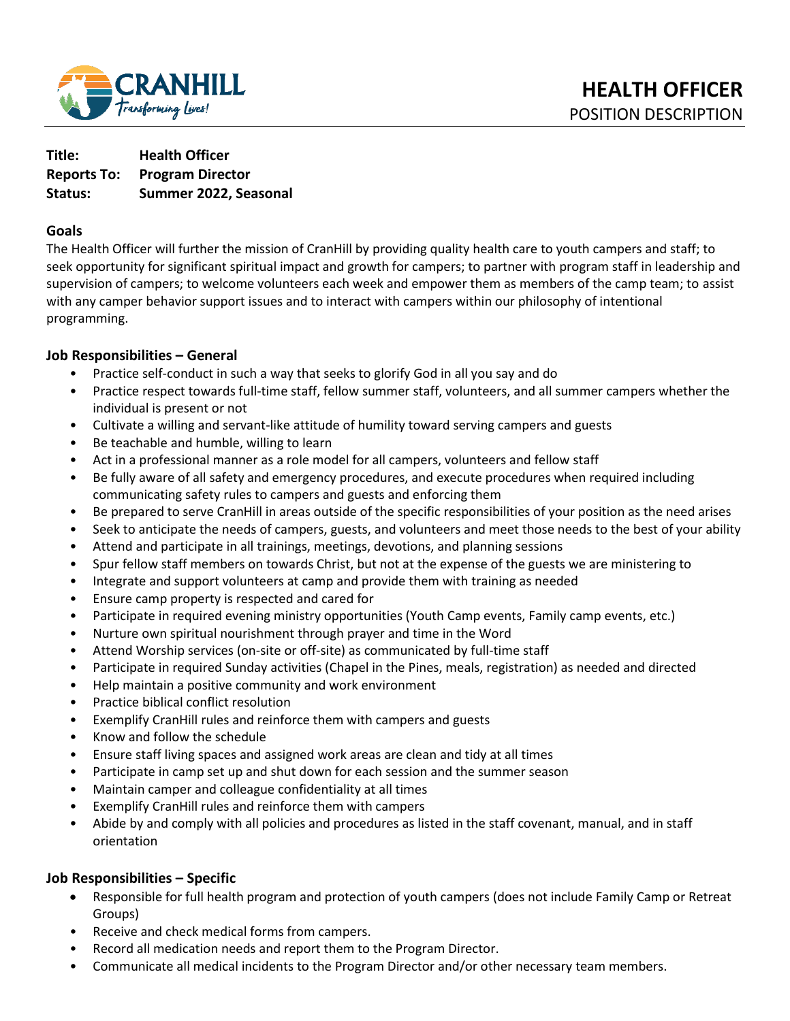

**Title: Health Officer Reports To: Program Director Status: Summer 2022, Seasonal** 

#### **Goals**

The Health Officer will further the mission of CranHill by providing quality health care to youth campers and staff; to seek opportunity for significant spiritual impact and growth for campers; to partner with program staff in leadership and supervision of campers; to welcome volunteers each week and empower them as members of the camp team; to assist with any camper behavior support issues and to interact with campers within our philosophy of intentional programming.

## **Job Responsibilities – General**

- Practice self-conduct in such a way that seeks to glorify God in all you say and do
- Practice respect towards full-time staff, fellow summer staff, volunteers, and all summer campers whether the individual is present or not
- Cultivate a willing and servant-like attitude of humility toward serving campers and guests
- Be teachable and humble, willing to learn
- Act in a professional manner as a role model for all campers, volunteers and fellow staff
- Be fully aware of all safety and emergency procedures, and execute procedures when required including communicating safety rules to campers and guests and enforcing them
- Be prepared to serve CranHill in areas outside of the specific responsibilities of your position as the need arises
- Seek to anticipate the needs of campers, guests, and volunteers and meet those needs to the best of your ability
- Attend and participate in all trainings, meetings, devotions, and planning sessions
- Spur fellow staff members on towards Christ, but not at the expense of the guests we are ministering to
- Integrate and support volunteers at camp and provide them with training as needed
- Ensure camp property is respected and cared for
- Participate in required evening ministry opportunities (Youth Camp events, Family camp events, etc.)
- Nurture own spiritual nourishment through prayer and time in the Word
- Attend Worship services (on-site or off-site) as communicated by full-time staff
- Participate in required Sunday activities (Chapel in the Pines, meals, registration) as needed and directed
- Help maintain a positive community and work environment
- Practice biblical conflict resolution
- Exemplify CranHill rules and reinforce them with campers and guests
- Know and follow the schedule
- Ensure staff living spaces and assigned work areas are clean and tidy at all times
- Participate in camp set up and shut down for each session and the summer season
- Maintain camper and colleague confidentiality at all times
- Exemplify CranHill rules and reinforce them with campers
- Abide by and comply with all policies and procedures as listed in the staff covenant, manual, and in staff orientation

# **Job Responsibilities – Specific**

- Responsible for full health program and protection of youth campers (does not include Family Camp or Retreat Groups)
- Receive and check medical forms from campers.
- Record all medication needs and report them to the Program Director.
- Communicate all medical incidents to the Program Director and/or other necessary team members.